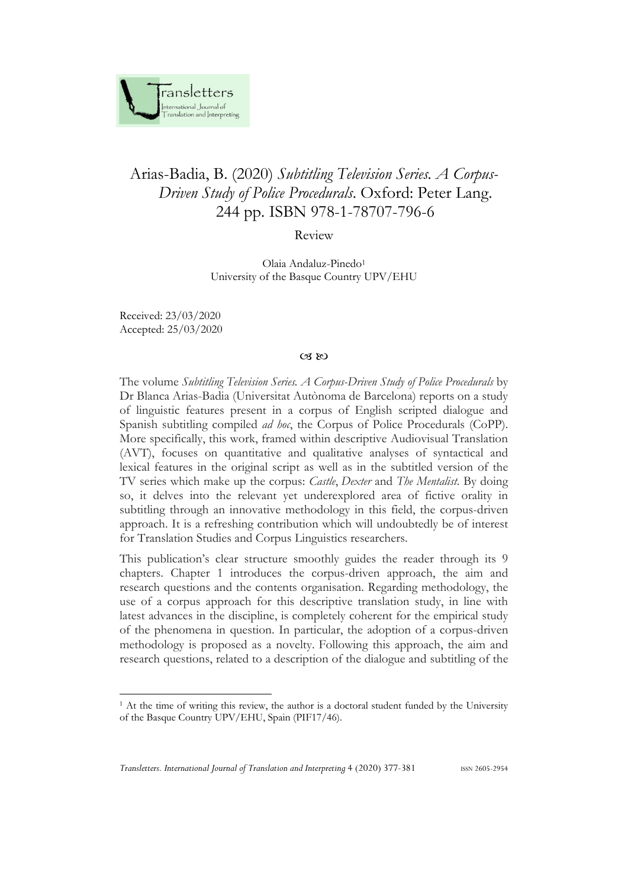

## Arias-Badia, B. (2020) *Subtitling Television Series. A Corpus-Driven Study of Police Procedurals*. Oxford: Peter Lang. 244 pp. ISBN 978-1-78707-796-6

Review

Olaia Andaluz-Pinedo<sup>1</sup> University of the Basque Country UPV/EHU

Received: 23/03/2020 Accepted: 25/03/2020

## $(X, \mathbb{R})$

The volume *Subtitling Television Series. A Corpus-Driven Study of Police Procedurals* by Dr Blanca Arias-Badia (Universitat Autònoma de Barcelona) reports on a study of linguistic features present in a corpus of English scripted dialogue and Spanish subtitling compiled *ad hoc*, the Corpus of Police Procedurals (CoPP). More specifically, this work, framed within descriptive Audiovisual Translation (AVT), focuses on quantitative and qualitative analyses of syntactical and lexical features in the original script as well as in the subtitled version of the TV series which make up the corpus: *Castle*, *Dexter* and *The Mentalist*. By doing so, it delves into the relevant yet underexplored area of fictive orality in subtitling through an innovative methodology in this field, the corpus-driven approach. It is a refreshing contribution which will undoubtedly be of interest for Translation Studies and Corpus Linguistics researchers.

This publication's clear structure smoothly guides the reader through its 9 chapters. Chapter 1 introduces the corpus-driven approach, the aim and research questions and the contents organisation. Regarding methodology, the use of a corpus approach for this descriptive translation study, in line with latest advances in the discipline, is completely coherent for the empirical study of the phenomena in question. In particular, the adoption of a corpus-driven methodology is proposed as a novelty. Following this approach, the aim and research questions, related to a description of the dialogue and subtitling of the

<sup>&</sup>lt;sup>1</sup> At the time of writing this review, the author is a doctoral student funded by the University of the Basque Country UPV/EHU, Spain (PIF17/46).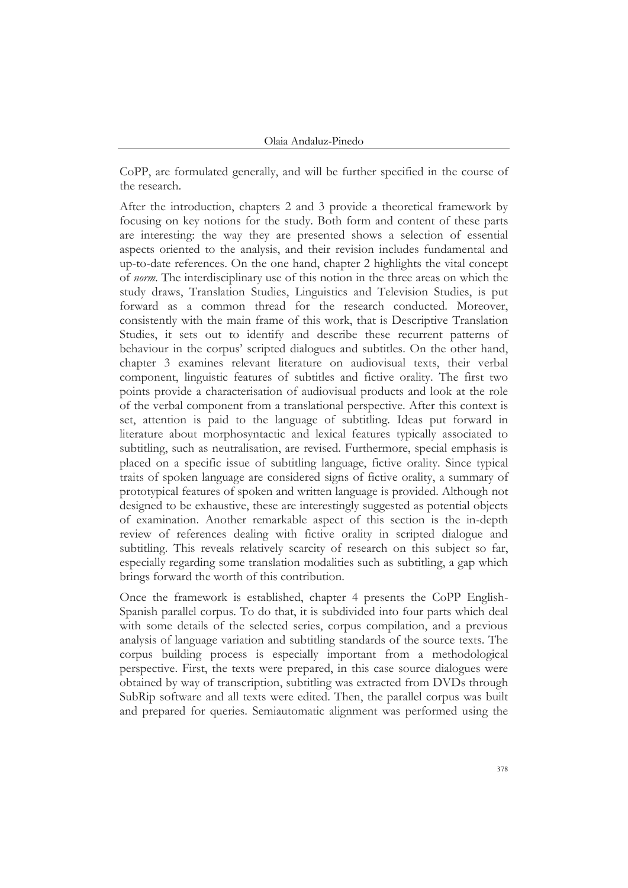CoPP, are formulated generally, and will be further specified in the course of the research.

After the introduction, chapters 2 and 3 provide a theoretical framework by focusing on key notions for the study. Both form and content of these parts are interesting: the way they are presented shows a selection of essential aspects oriented to the analysis, and their revision includes fundamental and up-to-date references. On the one hand, chapter 2 highlights the vital concept of *norm*. The interdisciplinary use of this notion in the three areas on which the study draws, Translation Studies, Linguistics and Television Studies, is put forward as a common thread for the research conducted. Moreover, consistently with the main frame of this work, that is Descriptive Translation Studies, it sets out to identify and describe these recurrent patterns of behaviour in the corpus' scripted dialogues and subtitles. On the other hand, chapter 3 examines relevant literature on audiovisual texts, their verbal component, linguistic features of subtitles and fictive orality. The first two points provide a characterisation of audiovisual products and look at the role of the verbal component from a translational perspective. After this context is set, attention is paid to the language of subtitling. Ideas put forward in literature about morphosyntactic and lexical features typically associated to subtitling, such as neutralisation, are revised. Furthermore, special emphasis is placed on a specific issue of subtitling language, fictive orality. Since typical traits of spoken language are considered signs of fictive orality, a summary of prototypical features of spoken and written language is provided. Although not designed to be exhaustive, these are interestingly suggested as potential objects of examination. Another remarkable aspect of this section is the in-depth review of references dealing with fictive orality in scripted dialogue and subtitling. This reveals relatively scarcity of research on this subject so far, especially regarding some translation modalities such as subtitling, a gap which brings forward the worth of this contribution.

Once the framework is established, chapter 4 presents the CoPP English-Spanish parallel corpus. To do that, it is subdivided into four parts which deal with some details of the selected series, corpus compilation, and a previous analysis of language variation and subtitling standards of the source texts. The corpus building process is especially important from a methodological perspective. First, the texts were prepared, in this case source dialogues were obtained by way of transcription, subtitling was extracted from DVDs through SubRip software and all texts were edited. Then, the parallel corpus was built and prepared for queries. Semiautomatic alignment was performed using the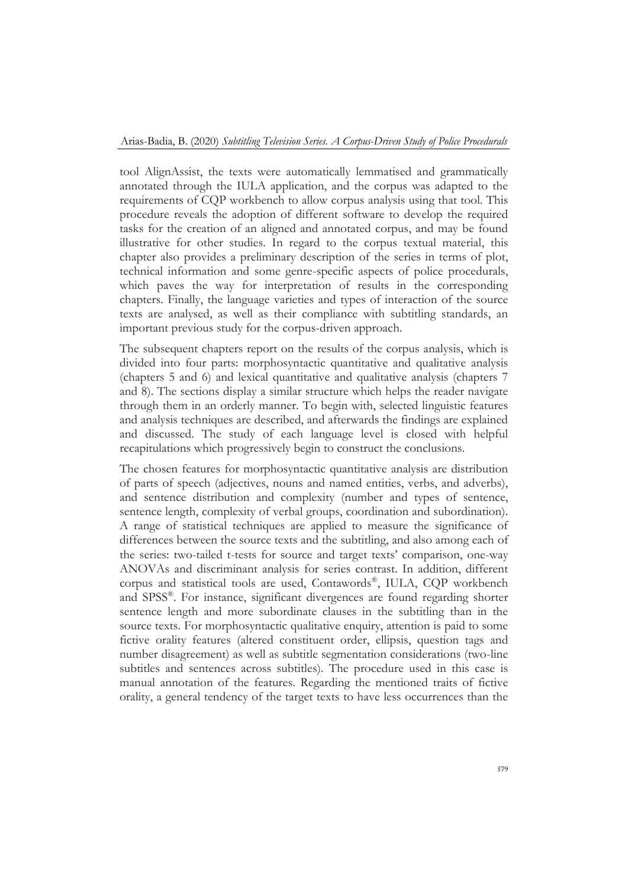tool AlignAssist, the texts were automatically lemmatised and grammatically annotated through the IULA application, and the corpus was adapted to the requirements of CQP workbench to allow corpus analysis using that tool. This procedure reveals the adoption of different software to develop the required tasks for the creation of an aligned and annotated corpus, and may be found illustrative for other studies. In regard to the corpus textual material, this chapter also provides a preliminary description of the series in terms of plot, technical information and some genre-specific aspects of police procedurals, which paves the way for interpretation of results in the corresponding chapters. Finally, the language varieties and types of interaction of the source texts are analysed, as well as their compliance with subtitling standards, an important previous study for the corpus-driven approach.

The subsequent chapters report on the results of the corpus analysis, which is divided into four parts: morphosyntactic quantitative and qualitative analysis (chapters 5 and 6) and lexical quantitative and qualitative analysis (chapters 7 and 8). The sections display a similar structure which helps the reader navigate through them in an orderly manner. To begin with, selected linguistic features and analysis techniques are described, and afterwards the findings are explained and discussed. The study of each language level is closed with helpful recapitulations which progressively begin to construct the conclusions.

The chosen features for morphosyntactic quantitative analysis are distribution of parts of speech (adjectives, nouns and named entities, verbs, and adverbs), and sentence distribution and complexity (number and types of sentence, sentence length, complexity of verbal groups, coordination and subordination). A range of statistical techniques are applied to measure the significance of differences between the source texts and the subtitling, and also among each of the series: two-tailed t-tests for source and target texts' comparison, one-way ANOVAs and discriminant analysis for series contrast. In addition, different corpus and statistical tools are used, Contawords® , IULA, CQP workbench and SPSS® . For instance, significant divergences are found regarding shorter sentence length and more subordinate clauses in the subtitling than in the source texts. For morphosyntactic qualitative enquiry, attention is paid to some fictive orality features (altered constituent order, ellipsis, question tags and number disagreement) as well as subtitle segmentation considerations (two-line subtitles and sentences across subtitles). The procedure used in this case is manual annotation of the features. Regarding the mentioned traits of fictive orality, a general tendency of the target texts to have less occurrences than the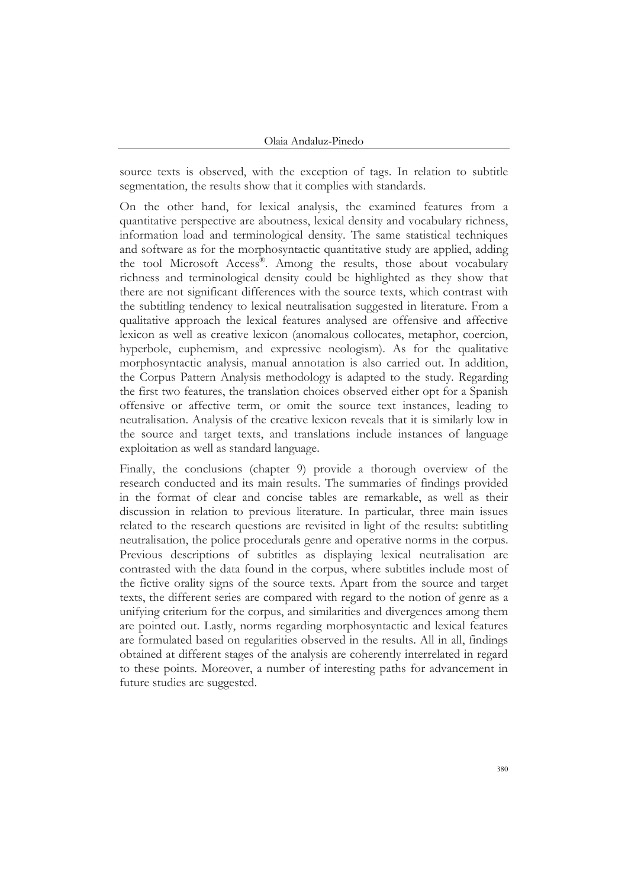source texts is observed, with the exception of tags. In relation to subtitle segmentation, the results show that it complies with standards.

On the other hand, for lexical analysis, the examined features from a quantitative perspective are aboutness, lexical density and vocabulary richness, information load and terminological density. The same statistical techniques and software as for the morphosyntactic quantitative study are applied, adding the tool Microsoft Access® . Among the results, those about vocabulary richness and terminological density could be highlighted as they show that there are not significant differences with the source texts, which contrast with the subtitling tendency to lexical neutralisation suggested in literature. From a qualitative approach the lexical features analysed are offensive and affective lexicon as well as creative lexicon (anomalous collocates, metaphor, coercion, hyperbole, euphemism, and expressive neologism). As for the qualitative morphosyntactic analysis, manual annotation is also carried out. In addition, the Corpus Pattern Analysis methodology is adapted to the study. Regarding the first two features, the translation choices observed either opt for a Spanish offensive or affective term, or omit the source text instances, leading to neutralisation. Analysis of the creative lexicon reveals that it is similarly low in the source and target texts, and translations include instances of language exploitation as well as standard language.

Finally, the conclusions (chapter 9) provide a thorough overview of the research conducted and its main results. The summaries of findings provided in the format of clear and concise tables are remarkable, as well as their discussion in relation to previous literature. In particular, three main issues related to the research questions are revisited in light of the results: subtitling neutralisation, the police procedurals genre and operative norms in the corpus. Previous descriptions of subtitles as displaying lexical neutralisation are contrasted with the data found in the corpus, where subtitles include most of the fictive orality signs of the source texts. Apart from the source and target texts, the different series are compared with regard to the notion of genre as a unifying criterium for the corpus, and similarities and divergences among them are pointed out. Lastly, norms regarding morphosyntactic and lexical features are formulated based on regularities observed in the results. All in all, findings obtained at different stages of the analysis are coherently interrelated in regard to these points. Moreover, a number of interesting paths for advancement in future studies are suggested.